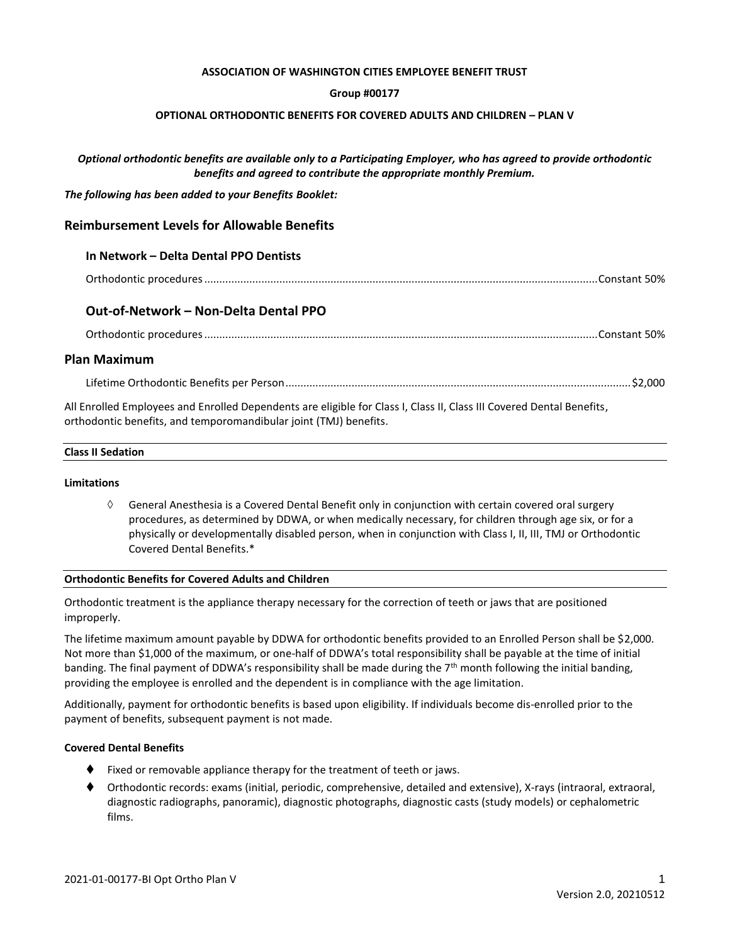### **ASSOCIATION OF WASHINGTON CITIES EMPLOYEE BENEFIT TRUST**

## **Group #00177**

### **OPTIONAL ORTHODONTIC BENEFITS FOR COVERED ADULTS AND CHILDREN – PLAN V**

# *Optional orthodontic benefits are available only to a Participating Employer, who has agreed to provide orthodontic benefits and agreed to contribute the appropriate monthly Premium.*

*The following has been added to your Benefits Booklet:*

# **Reimbursement Levels for Allowable Benefits**

## **In Network – Delta Dental PPO Dentists**

|--|--|

# **Out-of-Network – Non-Delta Dental PPO**

Orthodontic procedures...................................................................................................................................Constant 50%

# **Plan Maximum**

Lifetime Orthodontic Benefits per Person...................................................................................................................\$2,000

All Enrolled Employees and Enrolled Dependents are eligible for Class I, Class II, Class III Covered Dental Benefits, orthodontic benefits, and temporomandibular joint (TMJ) benefits.

# **Class II Sedation**

### **Limitations**

 $\Diamond$  General Anesthesia is a Covered Dental Benefit only in conjunction with certain covered oral surgery procedures, as determined by DDWA, or when medically necessary, for children through age six, or for a physically or developmentally disabled person, when in conjunction with Class I, II, III, TMJ or Orthodontic Covered Dental Benefits.\*

### **Orthodontic Benefits for Covered Adults and Children**

Orthodontic treatment is the appliance therapy necessary for the correction of teeth or jaws that are positioned improperly.

The lifetime maximum amount payable by DDWA for orthodontic benefits provided to an Enrolled Person shall be \$2,000. Not more than \$1,000 of the maximum, or one-half of DDWA's total responsibility shall be payable at the time of initial banding. The final payment of DDWA's responsibility shall be made during the 7<sup>th</sup> month following the initial banding, providing the employee is enrolled and the dependent is in compliance with the age limitation.

Additionally, payment for orthodontic benefits is based upon eligibility. If individuals become dis-enrolled prior to the payment of benefits, subsequent payment is not made.

### **Covered Dental Benefits**

- $\blacklozenge$  Fixed or removable appliance therapy for the treatment of teeth or jaws.
- ⧫ Orthodontic records: exams (initial, periodic, comprehensive, detailed and extensive), X-rays (intraoral, extraoral, diagnostic radiographs, panoramic), diagnostic photographs, diagnostic casts (study models) or cephalometric films.